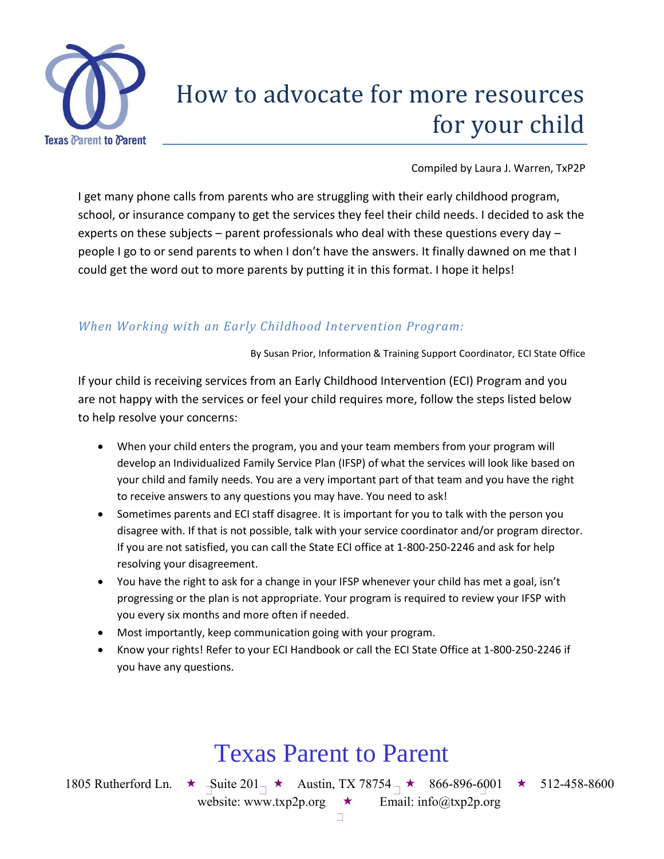

# How to advocate for more resources for your child

Compiled by Laura J. Warren, TxP2P

I get many phone calls from parents who are struggling with their early childhood program, school, or insurance company to get the services they feel their child needs. I decided to ask the experts on these subjects – parent professionals who deal with these questions every day – people I go to or send parents to when I don't have the answers. It finally dawned on me that I could get the word out to more parents by putting it in this format. I hope it helps!

#### *When Working with an Early Childhood Intervention Program:*

By Susan Prior, Information & Training Support Coordinator, ECI State Office

If your child is receiving services from an Early Childhood Intervention (ECI) Program and you are not happy with the services or feel your child requires more, follow the steps listed below to help resolve your concerns:

- When your child enters the program, you and your team members from your program will develop an Individualized Family Service Plan (IFSP) of what the services will look like based on your child and family needs. You are a very important part of that team and you have the right to receive answers to any questions you may have. You need to ask!
- Sometimes parents and ECI staff disagree. It is important for you to talk with the person you disagree with. If that is not possible, talk with your service coordinator and/or program director. If you are not satisfied, you can call the State ECI office at 1-800-250-2246 and ask for help resolving your disagreement.
- You have the right to ask for a change in your IFSP whenever your child has met a goal, isn't progressing or the plan is not appropriate. Your program is required to review your IFSP with you every six months and more often if needed.
- Most importantly, keep communication going with your program.
- Know your rights! Refer to your ECI Handbook or call the ECI State Office at 1-800-250-2246 if you have any questions.

## Texas Parent to Parent

1805 Rutherford Ln.  $\star$  -Suite 201  $\star$  Austin, TX 78754  $\star$  866-896-6001  $\star$  512-458-8600

website: www.txp2p.org  $\star$  Email: info@txp2p.org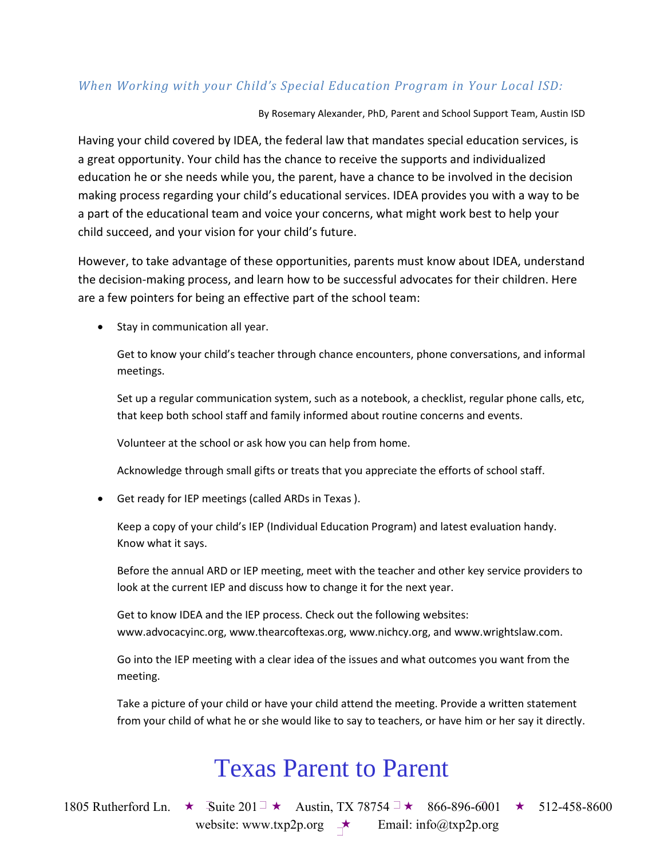#### *When Working with your Child's Special Education Program in Your Local ISD:*

By Rosemary Alexander, PhD, Parent and School Support Team, Austin ISD

Having your child covered by IDEA, the federal law that mandates special education services, is a great opportunity. Your child has the chance to receive the supports and individualized education he or she needs while you, the parent, have a chance to be involved in the decision making process regarding your child's educational services. IDEA provides you with a way to be a part of the educational team and voice your concerns, what might work best to help your child succeed, and your vision for your child's future.

However, to take advantage of these opportunities, parents must know about IDEA, understand the decision-making process, and learn how to be successful advocates for their children. Here are a few pointers for being an effective part of the school team:

• Stay in communication all year.

Get to know your child's teacher through chance encounters, phone conversations, and informal meetings.

Set up a regular communication system, such as a notebook, a checklist, regular phone calls, etc, that keep both school staff and family informed about routine concerns and events.

Volunteer at the school or ask how you can help from home.

Acknowledge through small gifts or treats that you appreciate the efforts of school staff.

Get ready for IEP meetings (called ARDs in Texas ).

Keep a copy of your child's IEP (Individual Education Program) and latest evaluation handy. Know what it says.

Before the annual ARD or IEP meeting, meet with the teacher and other key service providers to look at the current IEP and discuss how to change it for the next year.

Get to know IDEA and the IEP process. Check out the following websites: www.advocacyinc.org, www.thearcoftexas.org, www.nichcy.org, and www.wrightslaw.com.

Go into the IEP meeting with a clear idea of the issues and what outcomes you want from the meeting.

Take a picture of your child or have your child attend the meeting. Provide a written statement from your child of what he or she would like to say to teachers, or have him or her say it directly.

## Texas Parent to Parent

1805 Rutherford Ln.  $\star$  Suite 201<sup> $\pm$ </sup> Austin, TX 78754  $\pm$  866-896-6001  $\star$  512-458-8600 website: www.txp2p.org  $\rightarrow$  Email: info@txp2p.org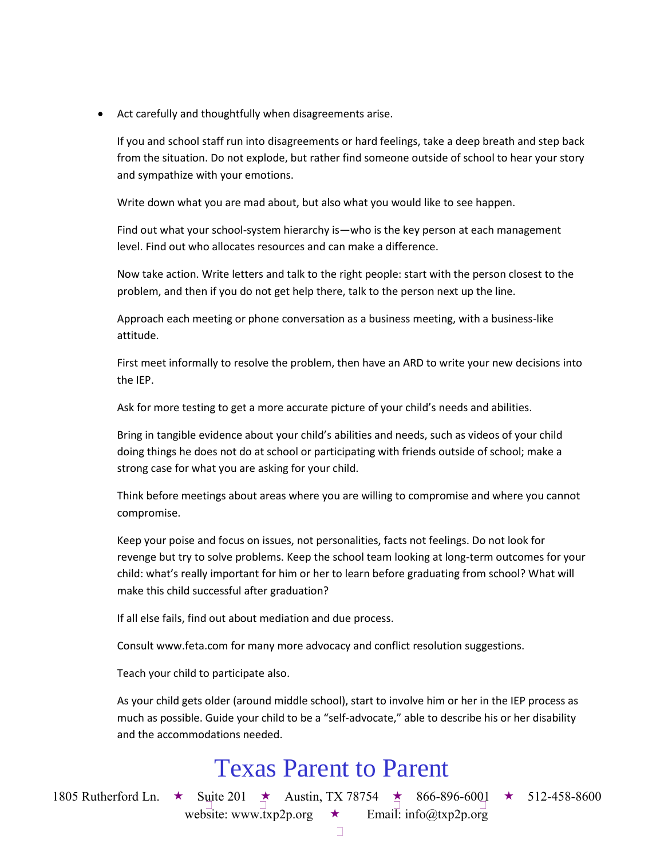Act carefully and thoughtfully when disagreements arise.

If you and school staff run into disagreements or hard feelings, take a deep breath and step back from the situation. Do not explode, but rather find someone outside of school to hear your story and sympathize with your emotions.

Write down what you are mad about, but also what you would like to see happen.

Find out what your school-system hierarchy is—who is the key person at each management level. Find out who allocates resources and can make a difference.

Now take action. Write letters and talk to the right people: start with the person closest to the problem, and then if you do not get help there, talk to the person next up the line.

Approach each meeting or phone conversation as a business meeting, with a business-like attitude.

First meet informally to resolve the problem, then have an ARD to write your new decisions into the IEP.

Ask for more testing to get a more accurate picture of your child's needs and abilities.

Bring in tangible evidence about your child's abilities and needs, such as videos of your child doing things he does not do at school or participating with friends outside of school; make a strong case for what you are asking for your child.

Think before meetings about areas where you are willing to compromise and where you cannot compromise.

Keep your poise and focus on issues, not personalities, facts not feelings. Do not look for revenge but try to solve problems. Keep the school team looking at long-term outcomes for your child: what's really important for him or her to learn before graduating from school? What will make this child successful after graduation?

If all else fails, find out about mediation and due process.

Consult www.feta.com for many more advocacy and conflict resolution suggestions.

Teach your child to participate also.

As your child gets older (around middle school), start to involve him or her in the IEP process as much as possible. Guide your child to be a "self-advocate," able to describe his or her disability and the accommodations needed.

### Texas Parent to Parent

1805 Rutherford Ln.  $\star$  Suite 201  $\star$  Austin, TX 78754  $\star$  866-896-6001  $\star$  512-458-8600

website: www.txp2p.org  $\star$  Email: info@txp2p.org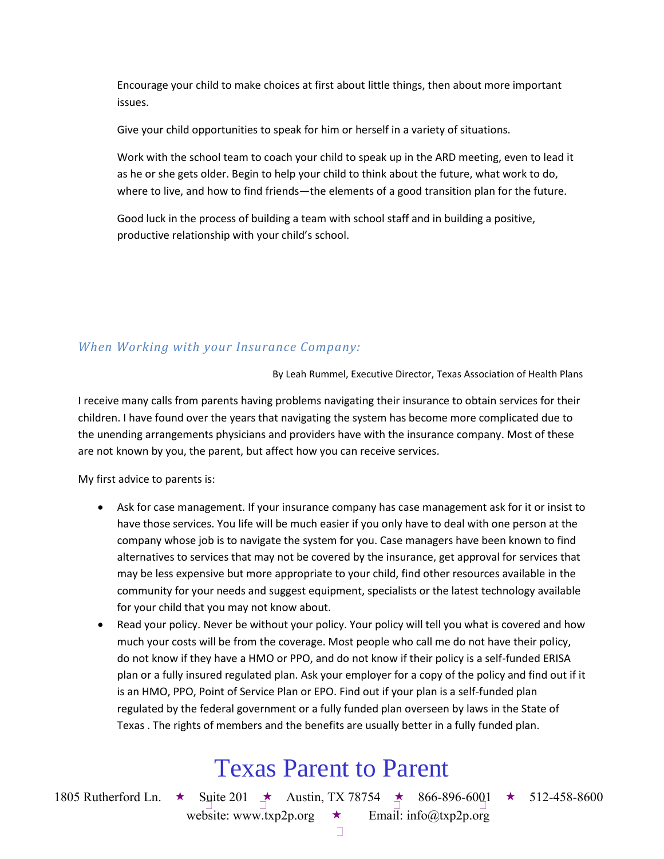Encourage your child to make choices at first about little things, then about more important issues.

Give your child opportunities to speak for him or herself in a variety of situations.

Work with the school team to coach your child to speak up in the ARD meeting, even to lead it as he or she gets older. Begin to help your child to think about the future, what work to do, where to live, and how to find friends—the elements of a good transition plan for the future.

Good luck in the process of building a team with school staff and in building a positive, productive relationship with your child's school.

#### *When Working with your Insurance Company:*

By Leah Rummel, Executive Director, Texas Association of Health Plans

I receive many calls from parents having problems navigating their insurance to obtain services for their children. I have found over the years that navigating the system has become more complicated due to the unending arrangements physicians and providers have with the insurance company. Most of these are not known by you, the parent, but affect how you can receive services.

My first advice to parents is:

- Ask for case management. If your insurance company has case management ask for it or insist to have those services. You life will be much easier if you only have to deal with one person at the company whose job is to navigate the system for you. Case managers have been known to find alternatives to services that may not be covered by the insurance, get approval for services that may be less expensive but more appropriate to your child, find other resources available in the community for your needs and suggest equipment, specialists or the latest technology available for your child that you may not know about.
- Read your policy. Never be without your policy. Your policy will tell you what is covered and how much your costs will be from the coverage. Most people who call me do not have their policy, do not know if they have a HMO or PPO, and do not know if their policy is a self-funded ERISA plan or a fully insured regulated plan. Ask your employer for a copy of the policy and find out if it is an HMO, PPO, Point of Service Plan or EPO. Find out if your plan is a self-funded plan regulated by the federal government or a fully funded plan overseen by laws in the State of Texas . The rights of members and the benefits are usually better in a fully funded plan.

## Texas Parent to Parent

1805 Rutherford Ln.  $\star$  Suite 201  $\star$  Austin, TX 78754  $\star$  866-896-6001  $\star$  512-458-8600

website: www.txp2p.org  $\star$  Email: info@txp2p.org